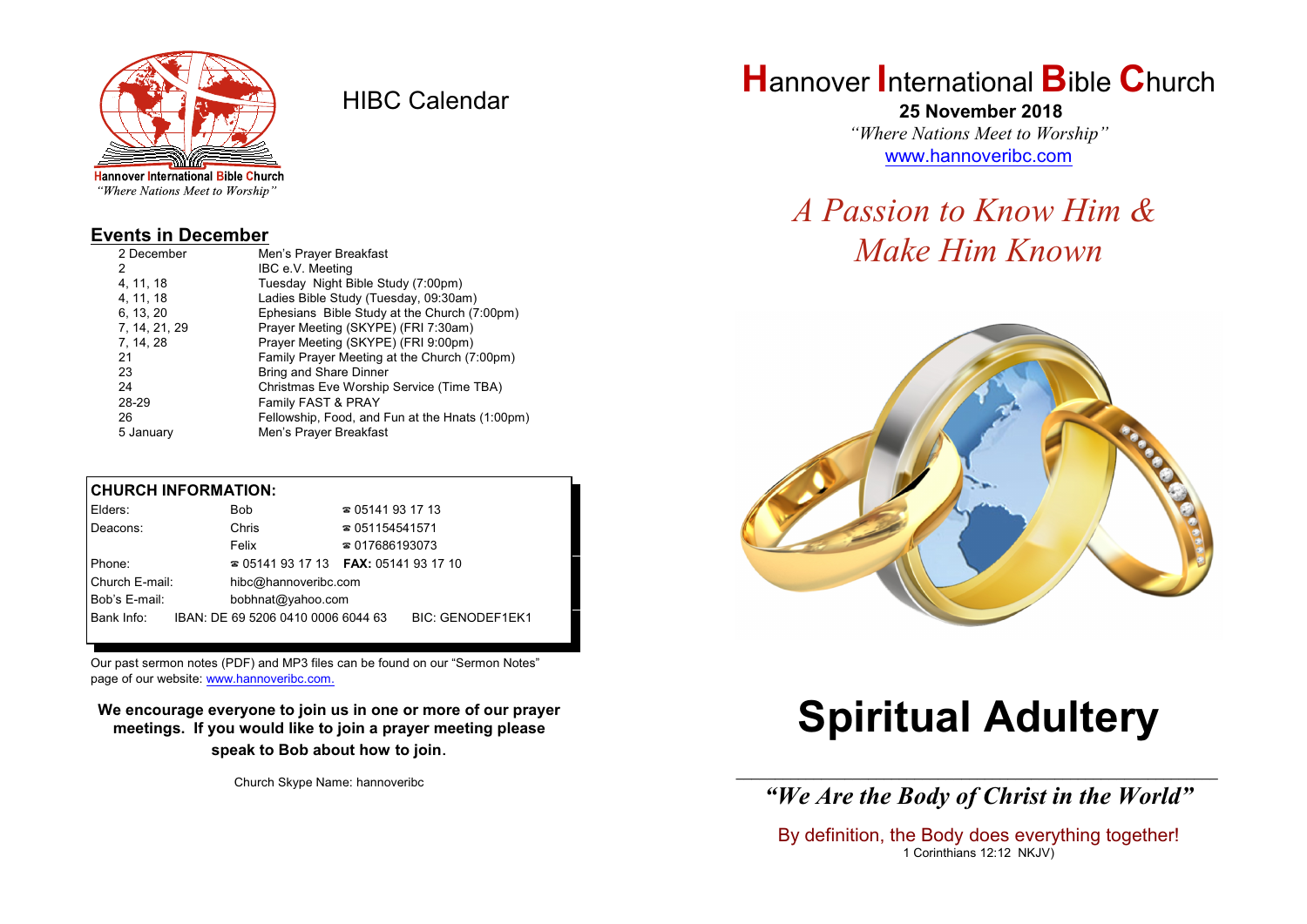

HIBC Calendar

"Where Nations Meet to Worship"

#### **Events in December**

| 2 December    | Men's Prayer Breakfast                          |
|---------------|-------------------------------------------------|
| 2             | IBC e.V. Meeting                                |
| 4, 11, 18     | Tuesday Night Bible Study (7:00pm)              |
| 4, 11, 18     | Ladies Bible Study (Tuesday, 09:30am)           |
| 6, 13, 20     | Ephesians Bible Study at the Church (7:00pm)    |
| 7, 14, 21, 29 | Prayer Meeting (SKYPE) (FRI 7:30am)             |
| 7, 14, 28     | Prayer Meeting (SKYPE) (FRI 9:00pm)             |
| 21            | Family Prayer Meeting at the Church (7:00pm)    |
| 23            | Bring and Share Dinner                          |
| 24            | Christmas Eve Worship Service (Time TBA)        |
| 28-29         | Family FAST & PRAY                              |
| 26            | Fellowship, Food, and Fun at the Hnats (1:00pm) |
| 5 January     | Men's Prayer Breakfast                          |

#### **CHURCH INFORMATION:**

| Elders:        | Bob                                      | $\approx 05141931713$  |                         |
|----------------|------------------------------------------|------------------------|-------------------------|
| Deacons:       | Chris                                    | $\approx 051154541571$ |                         |
|                | Felix                                    | $\approx 017686193073$ |                         |
| Phone:         | $\approx 05141931713$ FAX: 0514193 17 10 |                        |                         |
| Church E-mail: | hibc@hannoveribc.com                     |                        |                         |
| Bob's E-mail:  | bobhnat@yahoo.com                        |                        |                         |
| Bank Info:     | IBAN: DE 69 5206 0410 0006 6044 63       |                        | <b>BIC: GENODEF1EK1</b> |

Our past sermon notes (PDF) and MP3 files can be found on our "Sermon Notes" page of our website: [www.hannoveribc.com.](http://www.hannoveribc.com.)

**We encourage everyone to join us in one or more of our prayer meetings. If you would like to join a prayer meeting please speak to Bob about how to join**.

Church Skype Name: hannoveribc

## **H**annover **I**nternational **B**ible **C**hurch

 **25 November 2018** *"Where Nations Meet to Worship"* [www.hannoveribc.com](http://www.hannoveribc.com)

## *A Passion to Know Him & Make Him Known*



# **Spiritual Adultery**

\_\_\_\_\_\_\_\_\_\_\_\_\_\_\_\_\_\_\_\_\_\_\_\_\_\_\_\_\_\_\_\_\_\_\_\_\_\_\_\_\_\_\_\_\_\_\_\_\_\_\_\_\_\_\_\_\_\_\_\_\_\_ *"We Are the Body of Christ in the World"*

By definition, the Body does everything together! 1 Corinthians 12:12 NKJV)